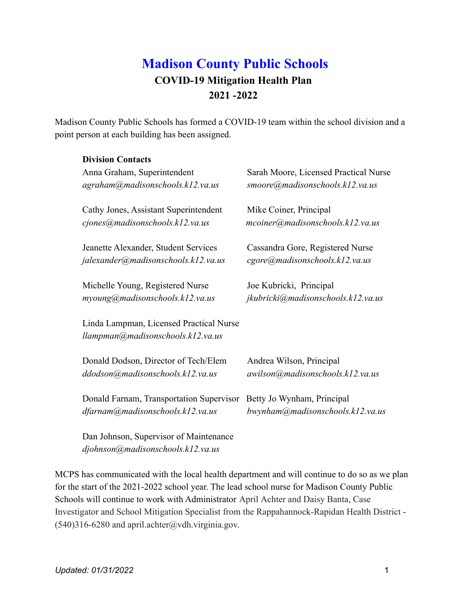# **Madison County Public Schools COVID-19 Mitigation Health Plan 2021 -2022**

Madison County Public Schools has formed a COVID-19 team within the school division and a point person at each building has been assigned.

#### **Division Contacts**

| Anna Graham, Superintendent                                                  | Sarah Moore, Licensed Practical Nurse |
|------------------------------------------------------------------------------|---------------------------------------|
| agraham@madisonschools.k12.va.us                                             | smoore@madisonschools.k12.va.us       |
| Cathy Jones, Assistant Superintendent                                        | Mike Coiner, Principal                |
| cjones@madisonschools.k12.va.us                                              | mcoiner@madisonschools.k12.va.us      |
| Jeanette Alexander, Student Services                                         | Cassandra Gore, Registered Nurse      |
| jalexander@madisonschools.k12.va.us                                          | cgore@madisonschools.k12.va.us        |
| Michelle Young, Registered Nurse                                             | Joe Kubricki, Principal               |
| myoung@madisonschools.k12.va.us                                              | jkubricki@madisonschools.k12.va.us    |
| Linda Lampman, Licensed Practical Nurse<br>llampman@madisonschools.k12.va.us |                                       |
| Donald Dodson, Director of Tech/Elem                                         | Andrea Wilson, Principal              |
| ddodson@madisonschools.k12.va.us                                             | awilson@madisonschools.k12.va.us      |
| Donald Farnam, Transportation Supervisor                                     | Betty Jo Wynham, Principal            |
| dfarnam@madisonschools.k12.va.us                                             | bwynham@madisonschools.k12.va.us      |
| Dan Johnson, Supervisor of Maintenance                                       |                                       |

*djohnson[@madisonschools.k12.va.us](mailto:ekeys@madisonschools.k12.va.us)*

MCPS has communicated with the local health department and will continue to do so as we plan for the start of the 2021-2022 school year. The lead school nurse for Madison County Public Schools will continue to work with Administrator April Achter and Daisy Banta, Case Investigator and School Mitigation Specialist from the Rappahannock-Rapidan Health District -  $(540)316-6280$  and april.achter@vdh.virginia.gov.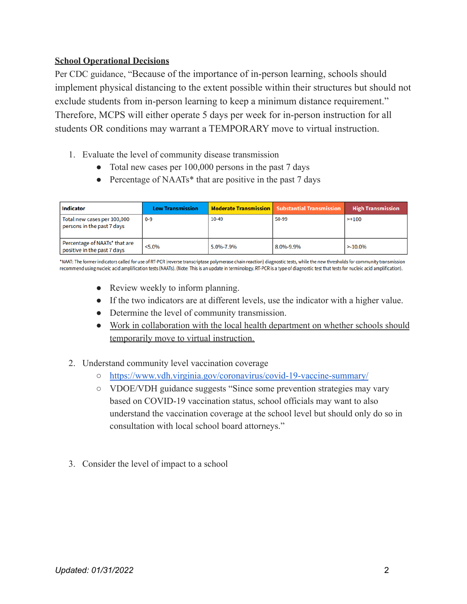### **School Operational Decisions**

Per CDC guidance, "Because of the importance of in-person learning, schools should implement physical distancing to the extent possible within their structures but should not exclude students from in-person learning to keep a minimum distance requirement." Therefore, MCPS will either operate 5 days per week for in-person instruction for all students OR conditions may warrant a TEMPORARY move to virtual instruction.

- 1. Evaluate the level of community disease transmission
	- Total new cases per 100,000 persons in the past 7 days
	- Percentage of NAATs\* that are positive in the past 7 days

| <b>Indicator</b>                                             | <b>Low Transmission</b> |           | <b>Moderate Transmission   Substantial Transmission</b> | <b>High Transmission</b> |
|--------------------------------------------------------------|-------------------------|-----------|---------------------------------------------------------|--------------------------|
| Total new cases per 100,000<br>persons in the past 7 days    | $0 - 9$                 | $10-49$   | 50-99                                                   | $>+100$                  |
| Percentage of NAATs* that are<br>positive in the past 7 days | $< 5.0\%$               | 5.0%-7.9% | 8.0%-9.9%                                               | $> -10.0\%$              |

\*NAAT: The former indicators called for use of RT-PCR (reverse transcriptase polymerase chain reaction) diagnostic tests, while the new thresholds for community transmission recommend using nucleic acid amplification tests (NAATs). (Note: This is an update in terminology. RT-PCR is a type of diagnostic test that tests for nucleic acid amplification).

- Review weekly to inform planning.
- If the two indicators are at different levels, use the indicator with a higher value.
- Determine the level of community transmission.
- Work in collaboration with the local health department on whether schools should temporarily move to virtual instruction.
- 2. Understand community level vaccination coverage
	- <https://www.vdh.virginia.gov/coronavirus/covid-19-vaccine-summary/>
	- VDOE/VDH guidance suggests "Since some prevention strategies may vary based on COVID-19 vaccination status, school officials may want to also understand the vaccination coverage at the school level but should only do so in consultation with local school board attorneys."
- 3. Consider the level of impact to a school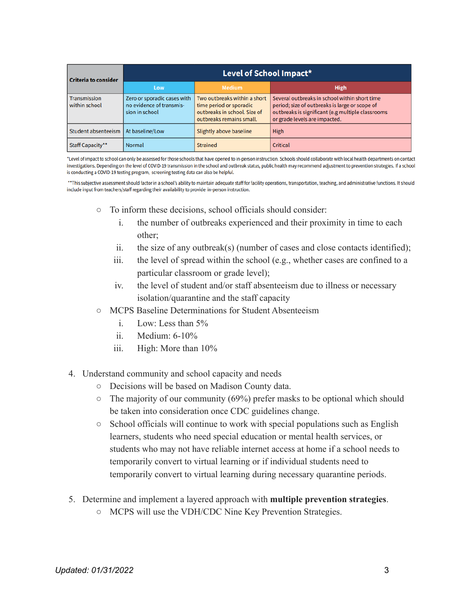| <b>Criteria to consider</b>           | Level of School Impact*                                                   |                                                                                                                     |                                                                                                                                                                                       |  |
|---------------------------------------|---------------------------------------------------------------------------|---------------------------------------------------------------------------------------------------------------------|---------------------------------------------------------------------------------------------------------------------------------------------------------------------------------------|--|
|                                       | Low                                                                       | <b>Medium</b>                                                                                                       | <b>High</b>                                                                                                                                                                           |  |
| <b>Transmission</b><br>within school  | Zero or sporadic cases with<br>no evidence of transmis-<br>sion in school | Two outbreaks within a short<br>time period or sporadic<br>outbreaks in school. Size of<br>outbreaks remains small. | Several outbreaks in school within short time<br>period; size of outbreaks is large or scope of<br>outbreaks is significant (e.g multiple classrooms<br>or grade levels are impacted. |  |
| Student absenteeism   At baseline/Low |                                                                           | Slightly above baseline                                                                                             | <b>High</b>                                                                                                                                                                           |  |
| Staff Capacity**                      | <b>Normal</b>                                                             | <b>Strained</b>                                                                                                     | Critical                                                                                                                                                                              |  |

\*Level of impact to school can only be assessed for those schools that have opened to in-person instruction. Schools should collaborate with local health departments on contact investigations. Depending on the level of COVID-19 transmission in the school and outbreak status, public health may recommend adjustment to prevention strategies. If a school is conducting a COVID-19 testing program, screening testing data can also be helpful.

\*\*This subjective assessment should factor in a school's ability to maintain adequate staff for facility operations, transportation, teaching, and administrative functions. It should include input from teachers/staff regarding their availability to provide in-person instruction.

- To inform these decisions, school officials should consider:
	- i. the number of outbreaks experienced and their proximity in time to each other;
	- ii. the size of any outbreak(s) (number of cases and close contacts identified);
	- iii. the level of spread within the school (e.g., whether cases are confined to a particular classroom or grade level);
	- iv. the level of student and/or staff absenteeism due to illness or necessary isolation/quarantine and the staff capacity
- MCPS Baseline Determinations for Student Absenteeism
	- i. Low: Less than 5%
	- ii. Medium: 6-10%
	- iii. High: More than 10%
- 4. Understand community and school capacity and needs
	- Decisions will be based on Madison County data.
	- $\circ$  The majority of our community (69%) prefer masks to be optional which should be taken into consideration once CDC guidelines change.
	- School officials will continue to work with special populations such as English learners, students who need special education or mental health services, or students who may not have reliable internet access at home if a school needs to temporarily convert to virtual learning or if individual students need to temporarily convert to virtual learning during necessary quarantine periods.
- 5. Determine and implement a layered approach with **multiple prevention strategies**.
	- MCPS will use the VDH/CDC Nine Key Prevention Strategies.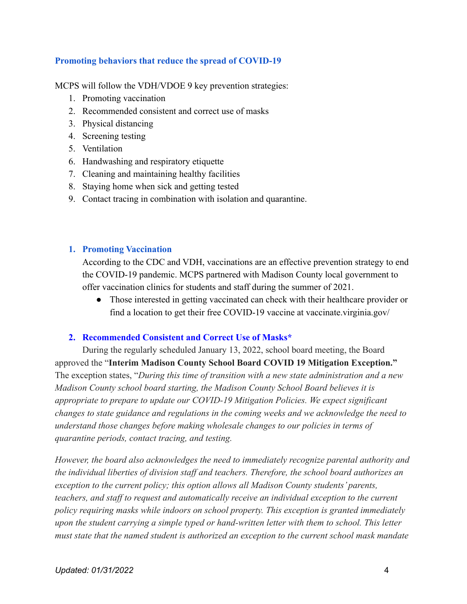#### **Promoting behaviors that reduce the spread of COVID-19**

MCPS will follow the VDH/VDOE 9 key prevention strategies:

- 1. Promoting vaccination
- 2. Recommended consistent and correct use of masks
- 3. Physical distancing
- 4. Screening testing
- 5. Ventilation
- 6. Handwashing and respiratory etiquette
- 7. Cleaning and maintaining healthy facilities
- 8. Staying home when sick and getting tested
- 9. Contact tracing in combination with isolation and quarantine.

#### **1. Promoting Vaccination**

According to the CDC and VDH, vaccinations are an effective prevention strategy to end the COVID-19 pandemic. MCPS partnered with Madison County local government to offer vaccination clinics for students and staff during the summer of 2021.

● Those interested in getting vaccinated can check with their healthcare provider or find a location to get their free COVID-19 vaccine at vaccinate.virginia.gov/

#### **2. Recommended Consistent and Correct Use of Masks\***

During the regularly scheduled January 13, 2022, school board meeting, the Board approved the "**Interim Madison County School Board COVID 19 Mitigation Exception."** The exception states, "*During this time of transition with a new state administration and a new Madison County school board starting, the Madison County School Board believes it is appropriate to prepare to update our COVID-19 Mitigation Policies. We expect significant changes to state guidance and regulations in the coming weeks and we acknowledge the need to understand those changes before making wholesale changes to our policies in terms of quarantine periods, contact tracing, and testing.*

*However, the board also acknowledges the need to immediately recognize parental authority and the individual liberties of division staff and teachers. Therefore, the school board authorizes an exception to the current policy; this option allows all Madison County students' parents, teachers, and staff to request and automatically receive an individual exception to the current policy requiring masks while indoors on school property. This exception is granted immediately upon the student carrying a simple typed or hand-written letter with them to school. This letter must state that the named student is authorized an exception to the current school mask mandate*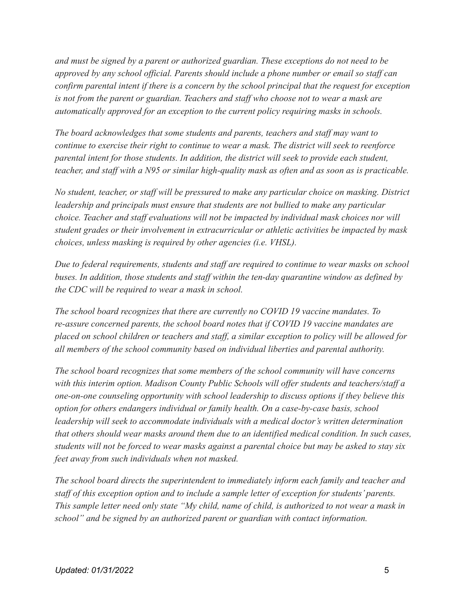*and must be signed by a parent or authorized guardian. These exceptions do not need to be approved by any school official. Parents should include a phone number or email so staff can confirm parental intent if there is a concern by the school principal that the request for exception is not from the parent or guardian. Teachers and staff who choose not to wear a mask are automatically approved for an exception to the current policy requiring masks in schools.*

*The board acknowledges that some students and parents, teachers and staff may want to continue to exercise their right to continue to wear a mask. The district will seek to reenforce parental intent for those students. In addition, the district will seek to provide each student, teacher, and staff with a N95 or similar high-quality mask as often and as soon as is practicable.*

*No student, teacher, or staff will be pressured to make any particular choice on masking. District leadership and principals must ensure that students are not bullied to make any particular choice. Teacher and staff evaluations will not be impacted by individual mask choices nor will student grades or their involvement in extracurricular or athletic activities be impacted by mask choices, unless masking is required by other agencies (i.e. VHSL).*

*Due to federal requirements, students and staff are required to continue to wear masks on school buses. In addition, those students and staff within the ten-day quarantine window as defined by the CDC will be required to wear a mask in school.*

*The school board recognizes that there are currently no COVID 19 vaccine mandates. To re-assure concerned parents, the school board notes that if COVID 19 vaccine mandates are placed on school children or teachers and staff, a similar exception to policy will be allowed for all members of the school community based on individual liberties and parental authority.*

*The school board recognizes that some members of the school community will have concerns with this interim option. Madison County Public Schools will offer students and teachers/staff a one-on-one counseling opportunity with school leadership to discuss options if they believe this option for others endangers individual or family health. On a case-by-case basis, school leadership will seek to accommodate individuals with a medical doctor's written determination that others should wear masks around them due to an identified medical condition. In such cases, students will not be forced to wear masks against a parental choice but may be asked to stay six feet away from such individuals when not masked.*

*The school board directs the superintendent to immediately inform each family and teacher and staff of this exception option and to include a sample letter of exception for students' parents. This sample letter need only state "My child, name of child, is authorized to not wear a mask in school" and be signed by an authorized parent or guardian with contact information.*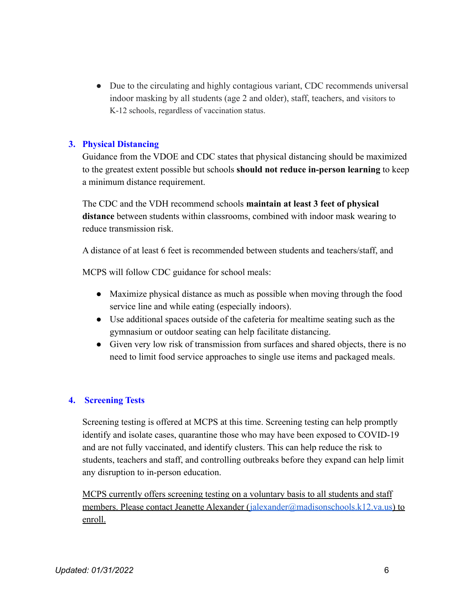• Due to the circulating and highly contagious variant, CDC recommends universal indoor masking by all students (age 2 and older), staff, teachers, and visitors to K-12 schools, regardless of vaccination status.

#### **3. Physical Distancing**

Guidance from the VDOE and CDC states that physical distancing should be maximized to the greatest extent possible but schools **should not reduce in-person learning** to keep a minimum distance requirement.

The CDC and the VDH recommend schools **maintain at least 3 feet of physical distance** between students within classrooms, combined with indoor mask wearing to reduce transmission risk.

A distance of at least 6 feet is recommended between students and teachers/staff, and

MCPS will follow CDC guidance for school meals:

- Maximize physical distance as much as possible when moving through the food service line and while eating (especially indoors).
- Use additional spaces outside of the cafeteria for mealtime seating such as the gymnasium or outdoor seating can help facilitate distancing.
- Given very low risk of transmission from surfaces and shared objects, there is no need to limit food service approaches to single use items and packaged meals.

#### **4. Screening Tests**

Screening testing is offered at MCPS at this time. Screening testing can help promptly identify and isolate cases, quarantine those who may have been exposed to COVID-19 and are not fully vaccinated, and identify clusters. This can help reduce the risk to students, teachers and staff, and controlling outbreaks before they expand can help limit any disruption to in-person education.

MCPS currently offers screening testing on a voluntary basis to all students and staff members. Please contact Jeanette Alexander ([jalexander@madisonschools.k12.va.us\)](mailto:jalexander@madisonschools.k12.va.us) to enroll.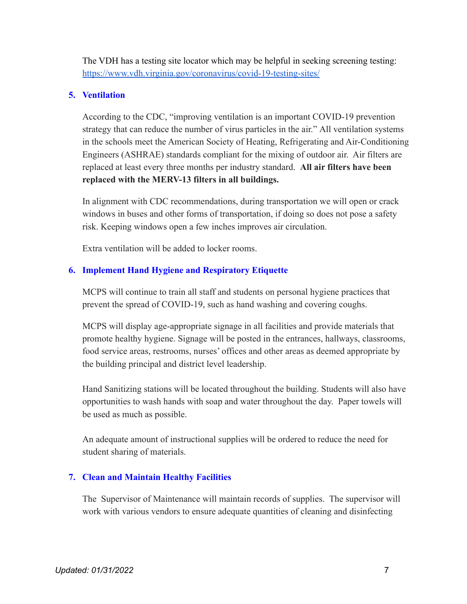The VDH has a testing site locator which may be helpful in seeking screening testing: <https://www.vdh.virginia.gov/coronavirus/covid-19-testing-sites/>

# **5. Ventilation**

According to the CDC, "improving ventilation is an important COVID-19 prevention strategy that can reduce the number of virus particles in the air." All ventilation systems in the schools meet the American Society of Heating, Refrigerating and Air-Conditioning Engineers (ASHRAE) standards compliant for the mixing of outdoor air. Air filters are replaced at least every three months per industry standard. **All air filters have been replaced with the MERV-13 filters in all buildings.**

In alignment with CDC recommendations, during transportation we will open or crack windows in buses and other forms of transportation, if doing so does not pose a safety risk. Keeping windows open a few inches improves air circulation.

Extra ventilation will be added to locker rooms.

# **6. Implement Hand Hygiene and Respiratory Etiquette**

MCPS will continue to train all staff and students on personal hygiene practices that prevent the spread of COVID-19, such as hand washing and covering coughs.

MCPS will display age-appropriate signage in all facilities and provide materials that promote healthy hygiene. Signage will be posted in the entrances, hallways, classrooms, food service areas, restrooms, nurses' offices and other areas as deemed appropriate by the building principal and district level leadership.

Hand Sanitizing stations will be located throughout the building. Students will also have opportunities to wash hands with soap and water throughout the day. Paper towels will be used as much as possible.

An adequate amount of instructional supplies will be ordered to reduce the need for student sharing of materials.

# **7. Clean and Maintain Healthy Facilities**

The Supervisor of Maintenance will maintain records of supplies. The supervisor will work with various vendors to ensure adequate quantities of cleaning and disinfecting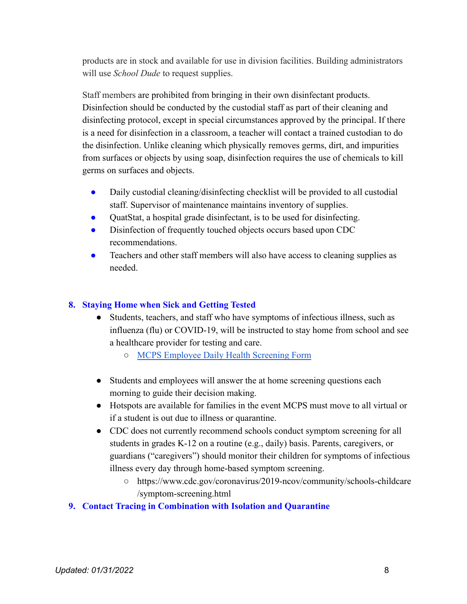products are in stock and available for use in division facilities. Building administrators will use *School Dude* to request supplies.

Staff members are prohibited from bringing in their own disinfectant products. Disinfection should be conducted by the custodial staff as part of their cleaning and disinfecting protocol, except in special circumstances approved by the principal. If there is a need for disinfection in a classroom, a teacher will contact a trained custodian to do the disinfection. Unlike cleaning which physically removes germs, dirt, and impurities from surfaces or objects by using soap, disinfection requires the use of chemicals to kill germs on surfaces and objects.

- Daily custodial cleaning/disinfecting checklist will be provided to all custodial staff. Supervisor of maintenance maintains inventory of supplies.
- QuatStat, a hospital grade disinfectant, is to be used for disinfecting.
- Disinfection of frequently touched objects occurs based upon CDC recommendations.
- Teachers and other staff members will also have access to cleaning supplies as needed.

# **8. Staying Home when Sick and Getting Tested**

- Students, teachers, and staff who have symptoms of infectious illness, such as influenza (flu) or COVID-19, will be instructed to stay home from school and see a healthcare provider for testing and care.
	- [MCPS Employee Daily Health Screening Form](https://docs.google.com/document/d/1kTfxoAIEIiCVO90BUctMB1oM5AQ9mu36fOg1tc1uEkc/edit)
- Students and employees will answer the at home screening questions each morning to guide their decision making.
- Hotspots are available for families in the event MCPS must move to all virtual or if a student is out due to illness or quarantine.
- CDC does not currently recommend schools conduct symptom screening for all students in grades K-12 on a routine (e.g., daily) basis. Parents, caregivers, or guardians ("caregivers") should monitor their children for symptoms of infectious illness every day through home-based symptom screening.
	- https://www.cdc.gov/coronavirus/2019-ncov/community/schools-childcare /symptom-screening.html

# **9. Contact Tracing in Combination with Isolation and Quarantine**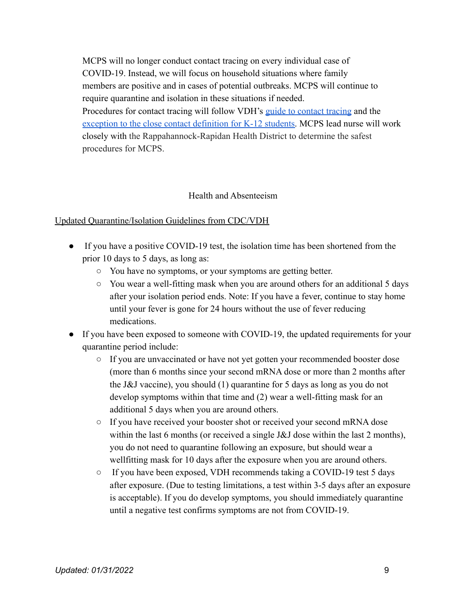MCPS will no longer conduct contact tracing on every individual case of COVID-19. Instead, we will focus on household situations where family members are positive and in cases of potential outbreaks. MCPS will continue to require quarantine and isolation in these situations if needed. Procedures for contact tracing will follow VDH's guide [to contact tracing](https://www.vdh.virginia.gov/coronavirus/prevention-tips/contact-tracing/) and the [exception to the close contact definition for K-12 students.](https://www.vdh.virginia.gov/coronavirus/local-exposure/#close-contact) MCPS lead nurse will work closely with the Rappahannock-Rapidan Health District to determine the safest procedures for MCPS.

#### Health and Absenteeism

#### Updated Quarantine/Isolation Guidelines from CDC/VDH

- If you have a positive COVID-19 test, the isolation time has been shortened from the prior 10 days to 5 days, as long as:
	- You have no symptoms, or your symptoms are getting better.
	- You wear a well-fitting mask when you are around others for an additional 5 days after your isolation period ends. Note: If you have a fever, continue to stay home until your fever is gone for 24 hours without the use of fever reducing medications.
- If you have been exposed to someone with COVID-19, the updated requirements for your quarantine period include:
	- If you are unvaccinated or have not yet gotten your recommended booster dose (more than 6 months since your second mRNA dose or more than 2 months after the J&J vaccine), you should (1) quarantine for 5 days as long as you do not develop symptoms within that time and (2) wear a well-fitting mask for an additional 5 days when you are around others.
	- If you have received your booster shot or received your second mRNA dose within the last 6 months (or received a single J&J dose within the last 2 months), you do not need to quarantine following an exposure, but should wear a wellfitting mask for 10 days after the exposure when you are around others.
	- If you have been exposed, VDH recommends taking a COVID-19 test 5 days after exposure. (Due to testing limitations, a test within 3-5 days after an exposure is acceptable). If you do develop symptoms, you should immediately quarantine until a negative test confirms symptoms are not from COVID-19.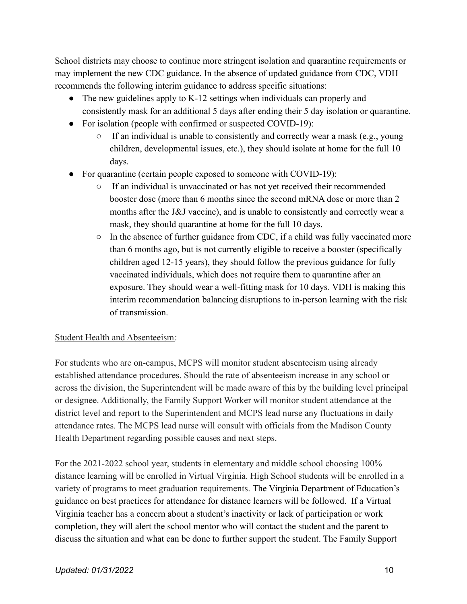School districts may choose to continue more stringent isolation and quarantine requirements or may implement the new CDC guidance. In the absence of updated guidance from CDC, VDH recommends the following interim guidance to address specific situations:

- The new guidelines apply to K-12 settings when individuals can properly and consistently mask for an additional 5 days after ending their 5 day isolation or quarantine.
- For isolation (people with confirmed or suspected COVID-19):
	- $\circ$  If an individual is unable to consistently and correctly wear a mask (e.g., young children, developmental issues, etc.), they should isolate at home for the full 10 days.
- For quarantine (certain people exposed to someone with COVID-19):
	- If an individual is unvaccinated or has not yet received their recommended booster dose (more than 6 months since the second mRNA dose or more than 2 months after the J&J vaccine), and is unable to consistently and correctly wear a mask, they should quarantine at home for the full 10 days.
	- $\circ$  In the absence of further guidance from CDC, if a child was fully vaccinated more than 6 months ago, but is not currently eligible to receive a booster (specifically children aged 12-15 years), they should follow the previous guidance for fully vaccinated individuals, which does not require them to quarantine after an exposure. They should wear a well-fitting mask for 10 days. VDH is making this interim recommendation balancing disruptions to in-person learning with the risk of transmission.

# Student Health and Absenteeism:

For students who are on-campus, MCPS will monitor student absenteeism using already established attendance procedures. Should the rate of absenteeism increase in any school or across the division, the Superintendent will be made aware of this by the building level principal or designee. Additionally, the Family Support Worker will monitor student attendance at the district level and report to the Superintendent and MCPS lead nurse any fluctuations in daily attendance rates. The MCPS lead nurse will consult with officials from the Madison County Health Department regarding possible causes and next steps.

For the 2021-2022 school year, students in elementary and middle school choosing 100% distance learning will be enrolled in Virtual Virginia. High School students will be enrolled in a variety of programs to meet graduation requirements. The Virginia Department of Education's guidance on best practices for attendance for distance learners will be followed. If a Virtual Virginia teacher has a concern about a student's inactivity or lack of participation or work completion, they will alert the school mentor who will contact the student and the parent to discuss the situation and what can be done to further support the student. The Family Support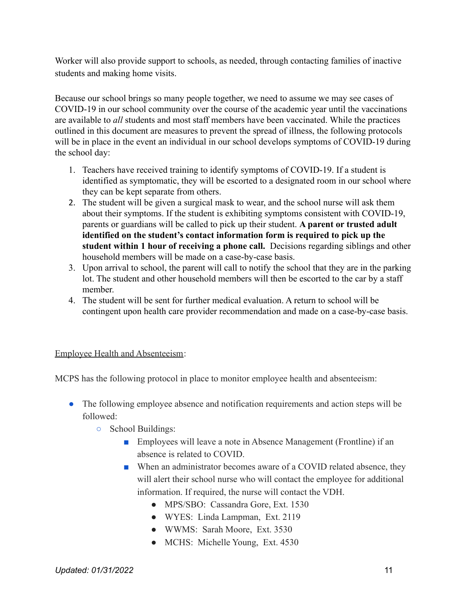Worker will also provide support to schools, as needed, through contacting families of inactive students and making home visits.

Because our school brings so many people together, we need to assume we may see cases of COVID-19 in our school community over the course of the academic year until the vaccinations are available to *all* students and most staff members have been vaccinated. While the practices outlined in this document are measures to prevent the spread of illness, the following protocols will be in place in the event an individual in our school develops symptoms of COVID-19 during the school day:

- 1. Teachers have received training to identify symptoms of COVID-19. If a student is identified as symptomatic, they will be escorted to a designated room in our school where they can be kept separate from others.
- 2. The student will be given a surgical mask to wear, and the school nurse will ask them about their symptoms. If the student is exhibiting symptoms consistent with COVID-19, parents or guardians will be called to pick up their student. **A parent or trusted adult identified on the student's contact information form is required to pick up the student within 1 hour of receiving a phone call.** Decisions regarding siblings and other household members will be made on a case-by-case basis.
- 3. Upon arrival to school, the parent will call to notify the school that they are in the parking lot. The student and other household members will then be escorted to the car by a staff member.
- 4. The student will be sent for further medical evaluation. A return to school will be contingent upon health care provider recommendation and made on a case-by-case basis.

#### Employee Health and Absenteeism:

MCPS has the following protocol in place to monitor employee health and absenteeism:

- The following employee absence and notification requirements and action steps will be followed:
	- School Buildings:
		- Employees will leave a note in Absence Management (Frontline) if an absence is related to COVID.
		- When an administrator becomes aware of a COVID related absence, they will alert their school nurse who will contact the employee for additional information. If required, the nurse will contact the VDH.
			- MPS/SBO: Cassandra Gore, Ext. 1530
			- WYES: Linda Lampman, Ext. 2119
			- WWMS: Sarah Moore, Ext. 3530
			- MCHS: Michelle Young, Ext. 4530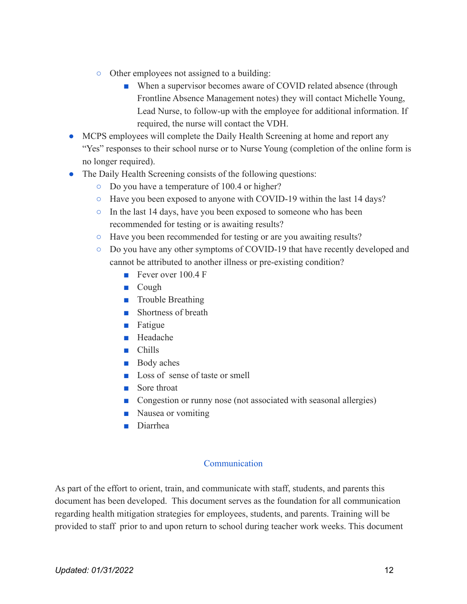- Other employees not assigned to a building:
	- When a supervisor becomes aware of COVID related absence (through Frontline Absence Management notes) they will contact Michelle Young, Lead Nurse, to follow-up with the employee for additional information. If required, the nurse will contact the VDH.
- MCPS employees will complete the Daily Health Screening at home and report any "Yes" responses to their school nurse or to Nurse Young (completion of the online form is no longer required).
- The Daily Health Screening consists of the following questions:
	- Do you have a temperature of 100.4 or higher?
	- Have you been exposed to anyone with COVID-19 within the last 14 days?
	- In the last 14 days, have you been exposed to someone who has been recommended for testing or is awaiting results?
	- Have you been recommended for testing or are you awaiting results?
	- Do you have any other symptoms of COVID-19 that have recently developed and cannot be attributed to another illness or pre-existing condition?
		- Fever over 100 4 F
		- Cough
		- Trouble Breathing
		- Shortness of breath
		- Fatigue
		- Headache
		- Chills
		- Body aches
		- Loss of sense of taste or smell
		- Sore throat
		- Congestion or runny nose (not associated with seasonal allergies)
		- Nausea or vomiting
		- Diarrhea

#### **Communication**

As part of the effort to orient, train, and communicate with staff, students, and parents this document has been developed. This document serves as the foundation for all communication regarding health mitigation strategies for employees, students, and parents. Training will be provided to staff prior to and upon return to school during teacher work weeks. This document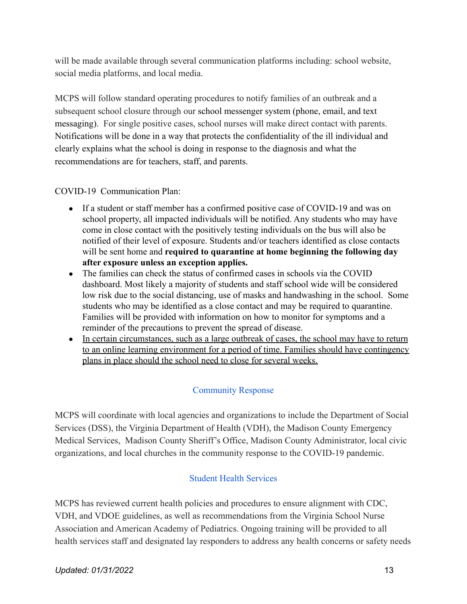will be made available through several communication platforms including: school website, social media platforms, and local media.

MCPS will follow standard operating procedures to notify families of an outbreak and a subsequent school closure through our school messenger system (phone, email, and text messaging). For single positive cases, school nurses will make direct contact with parents. Notifications will be done in a way that protects the confidentiality of the ill individual and clearly explains what the school is doing in response to the diagnosis and what the recommendations are for teachers, staff, and parents.

COVID-19 Communication Plan:

- If a student or staff member has a confirmed positive case of COVID-19 and was on school property, all impacted individuals will be notified. Any students who may have come in close contact with the positively testing individuals on the bus will also be notified of their level of exposure. Students and/or teachers identified as close contacts will be sent home and **required to quarantine at home beginning the following day after exposure unless an exception applies.**
- The families can check the status of confirmed cases in schools via the COVID dashboard. Most likely a majority of students and staff school wide will be considered low risk due to the social distancing, use of masks and handwashing in the school. Some students who may be identified as a close contact and may be required to quarantine. Families will be provided with information on how to monitor for symptoms and a reminder of the precautions to prevent the spread of disease.
- In certain circumstances, such as a large outbreak of cases, the school may have to return to an online learning environment for a period of time. Families should have contingency plans in place should the school need to close for several weeks.

# Community Response

MCPS will coordinate with local agencies and organizations to include the Department of Social Services (DSS), the Virginia Department of Health (VDH), the Madison County Emergency Medical Services, Madison County Sheriff's Office, Madison County Administrator, local civic organizations, and local churches in the community response to the COVID-19 pandemic.

# Student Health Services

MCPS has reviewed current health policies and procedures to ensure alignment with CDC, VDH, and VDOE guidelines, as well as recommendations from the Virginia School Nurse Association and American Academy of Pediatrics. Ongoing training will be provided to all health services staff and designated lay responders to address any health concerns or safety needs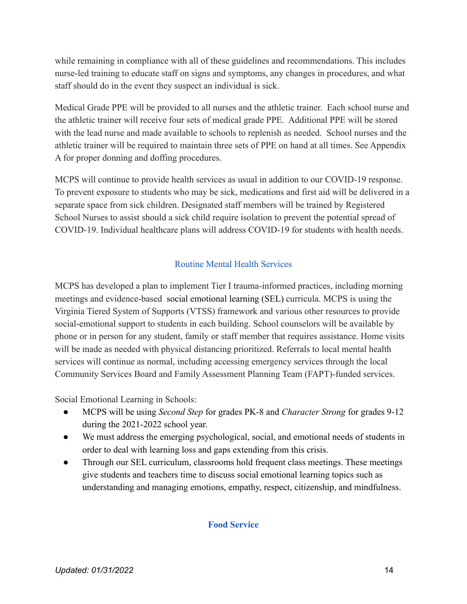while remaining in compliance with all of these guidelines and recommendations. This includes nurse-led training to educate staff on signs and symptoms, any changes in procedures, and what staff should do in the event they suspect an individual is sick.

Medical Grade PPE will be provided to all nurses and the athletic trainer. Each school nurse and the athletic trainer will receive four sets of medical grade PPE. Additional PPE will be stored with the lead nurse and made available to schools to replenish as needed. School nurses and the athletic trainer will be required to maintain three sets of PPE on hand at all times. See Appendix A for proper donning and doffing procedures.

MCPS will continue to provide health services as usual in addition to our COVID-19 response. To prevent exposure to students who may be sick, medications and first aid will be delivered in a separate space from sick children. Designated staff members will be trained by Registered School Nurses to assist should a sick child require isolation to prevent the potential spread of COVID-19. Individual healthcare plans will address COVID-19 for students with health needs.

### Routine Mental Health Services

MCPS has developed a plan to implement Tier I trauma-informed practices, including morning meetings and evidence-based social emotional learning (SEL) curricula. MCPS is using the Virginia Tiered System of Supports (VTSS) framework and various other resources to provide social-emotional support to students in each building. School counselors will be available by phone or in person for any student, family or staff member that requires assistance. Home visits will be made as needed with physical distancing prioritized. Referrals to local mental health services will continue as normal, including accessing emergency services through the local Community Services Board and Family Assessment Planning Team (FAPT)-funded services.

Social Emotional Learning in Schools:

- MCPS will be using *Second Step* for grades PK-8 and *Character Strong* for grades 9-12 during the 2021-2022 school year.
- We must address the emerging psychological, social, and emotional needs of students in order to deal with learning loss and gaps extending from this crisis.
- Through our SEL curriculum, classrooms hold frequent class meetings. These meetings give students and teachers time to discuss social emotional learning topics such as understanding and managing emotions, empathy, respect, citizenship, and mindfulness.

#### **Food Service**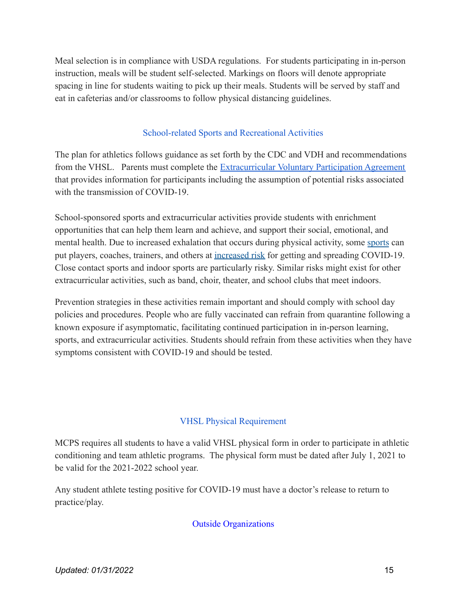Meal selection is in compliance with USDA regulations. For students participating in in-person instruction, meals will be student self-selected. Markings on floors will denote appropriate spacing in line for students waiting to pick up their meals. Students will be served by staff and eat in cafeterias and/or classrooms to follow physical distancing guidelines.

### School-related Sports and Recreational Activities

The plan for athletics follows guidance as set forth by the CDC and VDH and recommendations from the VHSL. Parents must complete the Extracurricular [Voluntary Participation Agreement](https://drive.google.com/file/d/10ZMQEAl5IQHZtJCGl-bllgPO2DNri8Be/view?usp=sharing) that provides information for participants including the assumption of potential risks associated with the transmission of COVID-19

School-sponsored sports and extracurricular activities provide students with enrichment opportunities that can help them learn and achieve, and support their social, emotional, and mental health. Due to increased exhalation that occurs during physical activity, some [sports](https://www.cdc.gov/coronavirus/2019-ncov/daily-life-coping/playing-sports.html) can put players, coaches, trainers, and others at [increased](https://www.cdc.gov/coronavirus/2019-ncov/science/science-briefs/transmission_k_12_schools.html#sports-activities) risk for getting and spreading COVID-19. Close contact sports and indoor sports are particularly risky. Similar risks might exist for other extracurricular activities, such as band, choir, theater, and school clubs that meet indoors.

Prevention strategies in these activities remain important and should comply with school day policies and procedures. People who are fully vaccinated can refrain from quarantine following a known exposure if asymptomatic, facilitating continued participation in in-person learning, sports, and extracurricular activities. Students should refrain from these activities when they have symptoms consistent with COVID-19 and should be tested.

#### VHSL Physical Requirement

MCPS requires all students to have a valid VHSL physical form in order to participate in athletic conditioning and team athletic programs. The physical form must be dated after July 1, 2021 to be valid for the 2021-2022 school year.

Any student athlete testing positive for COVID-19 must have a doctor's release to return to practice/play.

#### Outside Organizations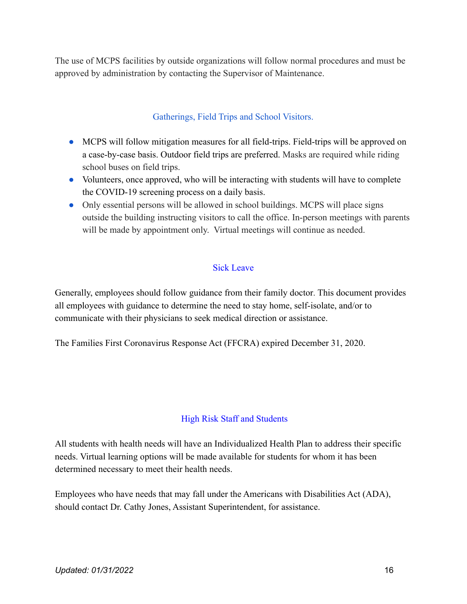The use of MCPS facilities by outside organizations will follow normal procedures and must be approved by administration by contacting the Supervisor of Maintenance.

### Gatherings, Field Trips and School Visitors.

- MCPS will follow mitigation measures for all field-trips. Field-trips will be approved on a case-by-case basis. Outdoor field trips are preferred. Masks are required while riding school buses on field trips.
- Volunteers, once approved, who will be interacting with students will have to complete the COVID-19 screening process on a daily basis.
- Only essential persons will be allowed in school buildings. MCPS will place signs outside the building instructing visitors to call the office. In-person meetings with parents will be made by appointment only. Virtual meetings will continue as needed.

#### Sick Leave

Generally, employees should follow guidance from their family doctor. This document provides all employees with guidance to determine the need to stay home, self-isolate, and/or to communicate with their physicians to seek medical direction or assistance.

The Families First Coronavirus Response Act (FFCRA) expired December 31, 2020.

# High Risk Staff and Students

All students with health needs will have an Individualized Health Plan to address their specific needs. Virtual learning options will be made available for students for whom it has been determined necessary to meet their health needs.

Employees who have needs that may fall under the Americans with Disabilities Act (ADA), should contact Dr. Cathy Jones, Assistant Superintendent, for assistance.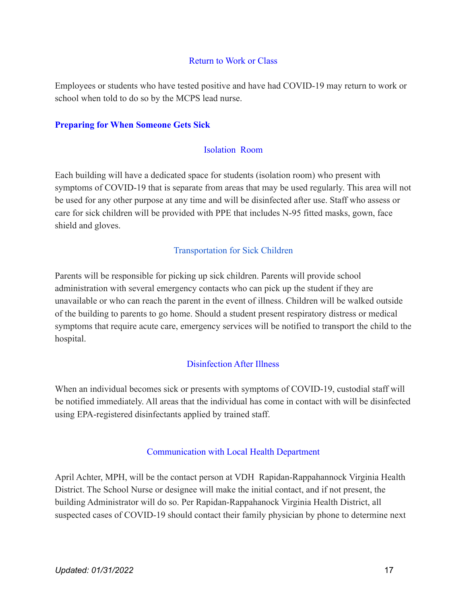#### Return to Work or Class

Employees or students who have tested positive and have had COVID-19 may return to work or school when told to do so by the MCPS lead nurse.

#### **Preparing for When Someone Gets Sick**

#### Isolation Room

Each building will have a dedicated space for students (isolation room) who present with symptoms of COVID-19 that is separate from areas that may be used regularly. This area will not be used for any other purpose at any time and will be disinfected after use. Staff who assess or care for sick children will be provided with PPE that includes N-95 fitted masks, gown, face shield and gloves.

#### Transportation for Sick Children

Parents will be responsible for picking up sick children. Parents will provide school administration with several emergency contacts who can pick up the student if they are unavailable or who can reach the parent in the event of illness. Children will be walked outside of the building to parents to go home. Should a student present respiratory distress or medical symptoms that require acute care, emergency services will be notified to transport the child to the hospital.

#### Disinfection After Illness

When an individual becomes sick or presents with symptoms of COVID-19, custodial staff will be notified immediately. All areas that the individual has come in contact with will be disinfected using EPA-registered disinfectants applied by trained staff.

#### Communication with Local Health Department

April Achter, MPH, will be the contact person at VDH Rapidan-Rappahannock Virginia Health District. The School Nurse or designee will make the initial contact, and if not present, the building Administrator will do so. Per Rapidan-Rappahanock Virginia Health District, all suspected cases of COVID-19 should contact their family physician by phone to determine next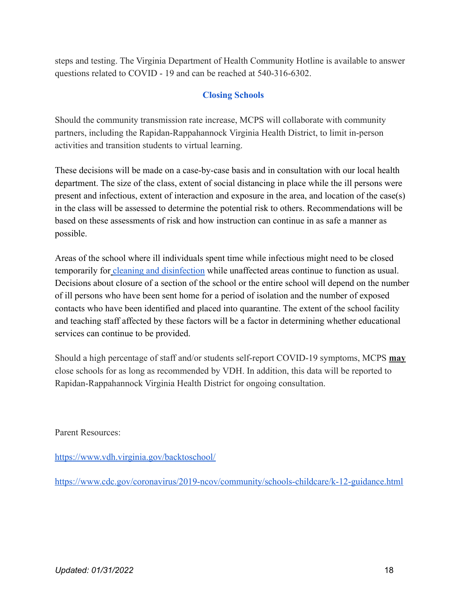steps and testing. The Virginia Department of Health Community Hotline is available to answer questions related to COVID - 19 and can be reached at 540-316-6302.

# **Closing Schools**

Should the community transmission rate increase, MCPS will collaborate with community partners, including the Rapidan-Rappahannock Virginia Health District, to limit in-person activities and transition students to virtual learning.

These decisions will be made on a case-by-case basis and in consultation with our local health department. The size of the class, extent of social distancing in place while the ill persons were present and infectious, extent of interaction and exposure in the area, and location of the case(s) in the class will be assessed to determine the potential risk to others. Recommendations will be based on these assessments of risk and how instruction can continue in as safe a manner as possible.

Areas of the school where ill individuals spent time while infectious might need to be closed temporarily for [cleaning and disinfection](https://lnks.gd/l/eyJhbGciOiJIUzI1NiJ9.eyJidWxsZXRpbl9saW5rX2lkIjoxMDgsInVyaSI6ImJwMjpjbGljayIsImJ1bGxldGluX2lkIjoiMjAyMDA3MDYuMjM5NjQzNjEiLCJ1cmwiOiJodHRwczovL3d3dy5jZGMuZ292L2Nvcm9uYXZpcnVzLzIwMTktbmNvdi9jb21tdW5pdHkvY2xlYW4tZGlzaW5mZWN0L2luZGV4Lmh0bWwifQ.BJnIvNpYVElnAJynYeTvzqA8F5d5n20IIHZTl7mh1pk/s/1016887457/br/80723308185-l) while unaffected areas continue to function as usual. Decisions about closure of a section of the school or the entire school will depend on the number of ill persons who have been sent home for a period of isolation and the number of exposed contacts who have been identified and placed into quarantine. The extent of the school facility and teaching staff affected by these factors will be a factor in determining whether educational services can continue to be provided.

Should a high percentage of staff and/or students self-report COVID-19 symptoms, MCPS **may** close schools for as long as recommended by VDH. In addition, this data will be reported to Rapidan-Rappahannock Virginia Health District for ongoing consultation.

Parent Resources:

<https://www.vdh.virginia.gov/backtoschool/>

<https://www.cdc.gov/coronavirus/2019-ncov/community/schools-childcare/k-12-guidance.html>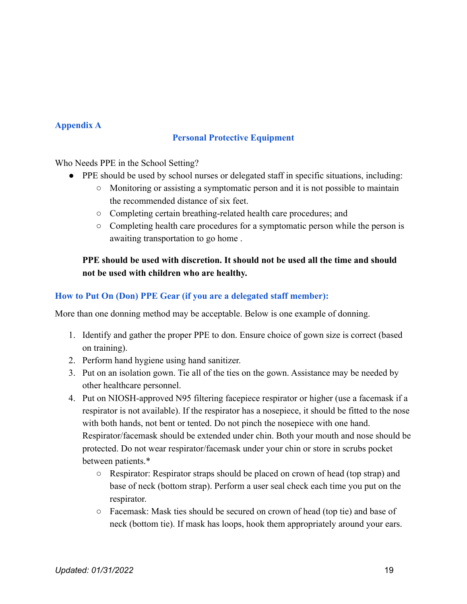# **Appendix A**

# **Personal Protective Equipment**

Who Needs PPE in the School Setting?

- PPE should be used by school nurses or delegated staff in specific situations, including:
	- Monitoring or assisting a symptomatic person and it is not possible to maintain the recommended distance of six feet.
	- Completing certain breathing-related health care procedures; and
	- Completing health care procedures for a symptomatic person while the person is awaiting transportation to go home .

# **PPE should be used with discretion. It should not be used all the time and should not be used with children who are healthy.**

# **How to Put On (Don) PPE Gear (if you are a delegated staff member):**

More than one donning method may be acceptable. Below is one example of donning.

- 1. Identify and gather the proper PPE to don. Ensure choice of gown size is correct (based on training).
- 2. Perform hand hygiene using hand sanitizer.
- 3. Put on an isolation gown. Tie all of the ties on the gown. Assistance may be needed by other healthcare personnel.
- 4. Put on NIOSH-approved N95 filtering facepiece respirator or higher (use a facemask if a respirator is not available). If the respirator has a nosepiece, it should be fitted to the nose with both hands, not bent or tented. Do not pinch the nosepiece with one hand. Respirator/facemask should be extended under chin. Both your mouth and nose should be protected. Do not wear respirator/facemask under your chin or store in scrubs pocket between patients.\*
	- Respirator: Respirator straps should be placed on crown of head (top strap) and base of neck (bottom strap). Perform a user seal check each time you put on the respirator.
	- Facemask: Mask ties should be secured on crown of head (top tie) and base of neck (bottom tie). If mask has loops, hook them appropriately around your ears.